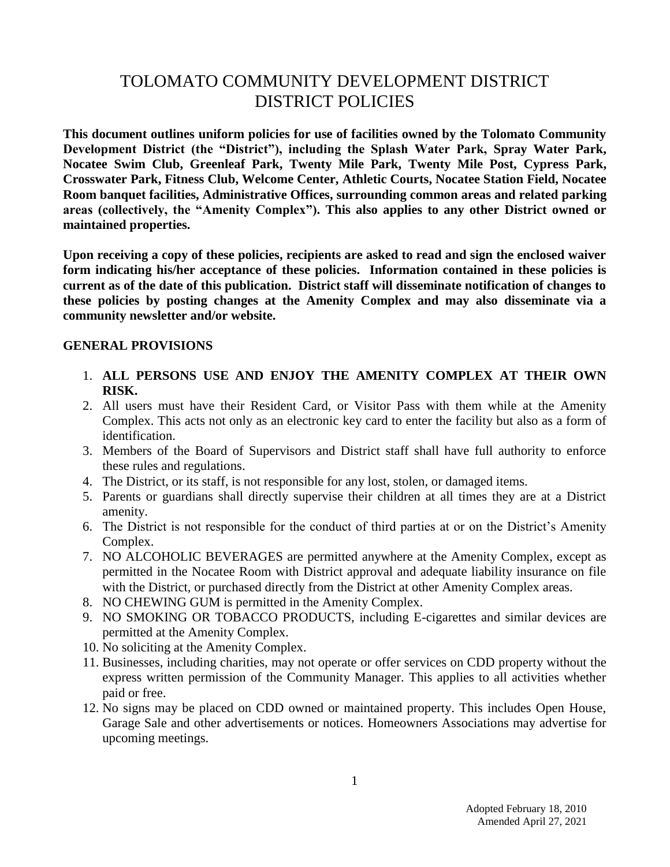# TOLOMATO COMMUNITY DEVELOPMENT DISTRICT DISTRICT POLICIES

**This document outlines uniform policies for use of facilities owned by the Tolomato Community Development District (the "District"), including the Splash Water Park, Spray Water Park, Nocatee Swim Club, Greenleaf Park, Twenty Mile Park, Twenty Mile Post, Cypress Park, Crosswater Park, Fitness Club, Welcome Center, Athletic Courts, Nocatee Station Field, Nocatee Room banquet facilities, Administrative Offices, surrounding common areas and related parking areas (collectively, the "Amenity Complex"). This also applies to any other District owned or maintained properties.**

**Upon receiving a copy of these policies, recipients are asked to read and sign the enclosed waiver form indicating his/her acceptance of these policies. Information contained in these policies is current as of the date of this publication. District staff will disseminate notification of changes to these policies by posting changes at the Amenity Complex and may also disseminate via a community newsletter and/or website.** 

#### **GENERAL PROVISIONS**

- 1. **ALL PERSONS USE AND ENJOY THE AMENITY COMPLEX AT THEIR OWN RISK.**
- 2. All users must have their Resident Card, or Visitor Pass with them while at the Amenity Complex. This acts not only as an electronic key card to enter the facility but also as a form of identification.
- 3. Members of the Board of Supervisors and District staff shall have full authority to enforce these rules and regulations.
- 4. The District, or its staff, is not responsible for any lost, stolen, or damaged items.
- 5. Parents or guardians shall directly supervise their children at all times they are at a District amenity.
- 6. The District is not responsible for the conduct of third parties at or on the District's Amenity Complex.
- 7. NO ALCOHOLIC BEVERAGES are permitted anywhere at the Amenity Complex, except as permitted in the Nocatee Room with District approval and adequate liability insurance on file with the District, or purchased directly from the District at other Amenity Complex areas.
- 8. NO CHEWING GUM is permitted in the Amenity Complex.
- 9. NO SMOKING OR TOBACCO PRODUCTS, including E-cigarettes and similar devices are permitted at the Amenity Complex.
- 10. No soliciting at the Amenity Complex.
- 11. Businesses, including charities, may not operate or offer services on CDD property without the express written permission of the Community Manager. This applies to all activities whether paid or free.
- 12. No signs may be placed on CDD owned or maintained property. This includes Open House, Garage Sale and other advertisements or notices. Homeowners Associations may advertise for upcoming meetings.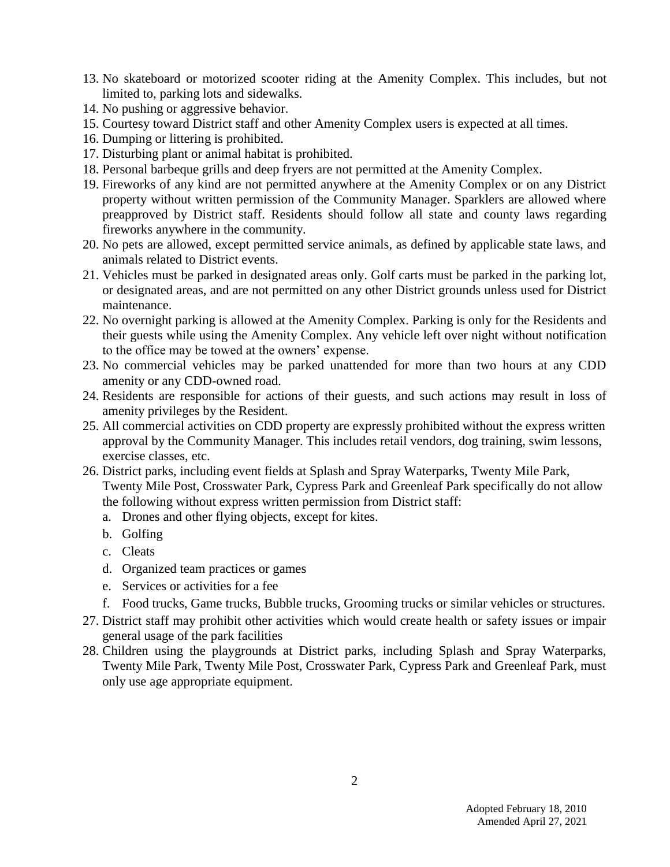- 13. No skateboard or motorized scooter riding at the Amenity Complex. This includes, but not limited to, parking lots and sidewalks.
- 14. No pushing or aggressive behavior.
- 15. Courtesy toward District staff and other Amenity Complex users is expected at all times.
- 16. Dumping or littering is prohibited.
- 17. Disturbing plant or animal habitat is prohibited.
- 18. Personal barbeque grills and deep fryers are not permitted at the Amenity Complex.
- 19. Fireworks of any kind are not permitted anywhere at the Amenity Complex or on any District property without written permission of the Community Manager. Sparklers are allowed where preapproved by District staff. Residents should follow all state and county laws regarding fireworks anywhere in the community.
- 20. No pets are allowed, except permitted service animals, as defined by applicable state laws, and animals related to District events.
- 21. Vehicles must be parked in designated areas only. Golf carts must be parked in the parking lot, or designated areas, and are not permitted on any other District grounds unless used for District maintenance.
- 22. No overnight parking is allowed at the Amenity Complex. Parking is only for the Residents and their guests while using the Amenity Complex. Any vehicle left over night without notification to the office may be towed at the owners' expense.
- 23. No commercial vehicles may be parked unattended for more than two hours at any CDD amenity or any CDD-owned road.
- 24. Residents are responsible for actions of their guests, and such actions may result in loss of amenity privileges by the Resident.
- 25. All commercial activities on CDD property are expressly prohibited without the express written approval by the Community Manager. This includes retail vendors, dog training, swim lessons, exercise classes, etc.
- 26. District parks, including event fields at Splash and Spray Waterparks, Twenty Mile Park, Twenty Mile Post, Crosswater Park, Cypress Park and Greenleaf Park specifically do not allow the following without express written permission from District staff:
	- a. Drones and other flying objects, except for kites.
	- b. Golfing
	- c. Cleats
	- d. Organized team practices or games
	- e. Services or activities for a fee
	- f. Food trucks, Game trucks, Bubble trucks, Grooming trucks or similar vehicles or structures.
- 27. District staff may prohibit other activities which would create health or safety issues or impair general usage of the park facilities
- 28. Children using the playgrounds at District parks, including Splash and Spray Waterparks, Twenty Mile Park, Twenty Mile Post, Crosswater Park, Cypress Park and Greenleaf Park, must only use age appropriate equipment.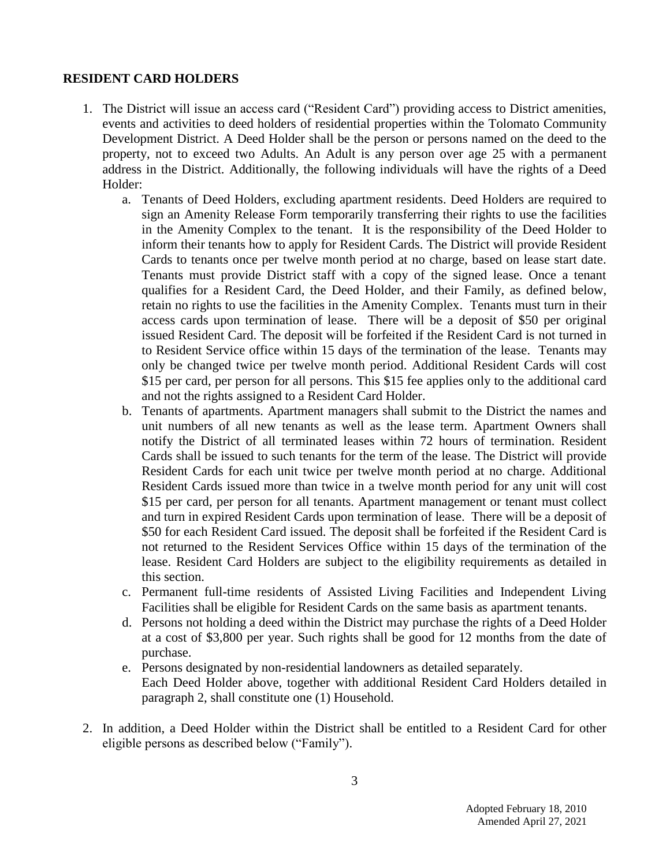#### **RESIDENT CARD HOLDERS**

- 1. The District will issue an access card ("Resident Card") providing access to District amenities, events and activities to deed holders of residential properties within the Tolomato Community Development District. A Deed Holder shall be the person or persons named on the deed to the property, not to exceed two Adults. An Adult is any person over age 25 with a permanent address in the District. Additionally, the following individuals will have the rights of a Deed Holder:
	- a. Tenants of Deed Holders, excluding apartment residents. Deed Holders are required to sign an Amenity Release Form temporarily transferring their rights to use the facilities in the Amenity Complex to the tenant. It is the responsibility of the Deed Holder to inform their tenants how to apply for Resident Cards. The District will provide Resident Cards to tenants once per twelve month period at no charge, based on lease start date. Tenants must provide District staff with a copy of the signed lease. Once a tenant qualifies for a Resident Card, the Deed Holder, and their Family, as defined below, retain no rights to use the facilities in the Amenity Complex. Tenants must turn in their access cards upon termination of lease. There will be a deposit of \$50 per original issued Resident Card. The deposit will be forfeited if the Resident Card is not turned in to Resident Service office within 15 days of the termination of the lease. Tenants may only be changed twice per twelve month period. Additional Resident Cards will cost \$15 per card, per person for all persons. This \$15 fee applies only to the additional card and not the rights assigned to a Resident Card Holder.
	- b. Tenants of apartments. Apartment managers shall submit to the District the names and unit numbers of all new tenants as well as the lease term. Apartment Owners shall notify the District of all terminated leases within 72 hours of termination. Resident Cards shall be issued to such tenants for the term of the lease. The District will provide Resident Cards for each unit twice per twelve month period at no charge. Additional Resident Cards issued more than twice in a twelve month period for any unit will cost \$15 per card, per person for all tenants. Apartment management or tenant must collect and turn in expired Resident Cards upon termination of lease. There will be a deposit of \$50 for each Resident Card issued. The deposit shall be forfeited if the Resident Card is not returned to the Resident Services Office within 15 days of the termination of the lease. Resident Card Holders are subject to the eligibility requirements as detailed in this section.
	- c. Permanent full-time residents of Assisted Living Facilities and Independent Living Facilities shall be eligible for Resident Cards on the same basis as apartment tenants.
	- d. Persons not holding a deed within the District may purchase the rights of a Deed Holder at a cost of \$3,800 per year. Such rights shall be good for 12 months from the date of purchase.
	- e. Persons designated by non-residential landowners as detailed separately. Each Deed Holder above, together with additional Resident Card Holders detailed in paragraph 2, shall constitute one (1) Household.
- 2. In addition, a Deed Holder within the District shall be entitled to a Resident Card for other eligible persons as described below ("Family").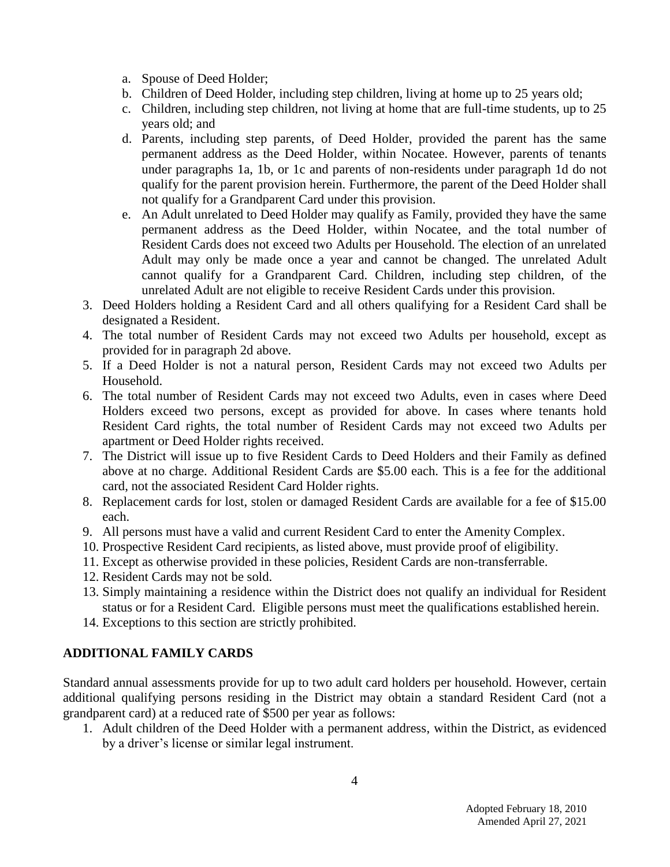- a. Spouse of Deed Holder;
- b. Children of Deed Holder, including step children, living at home up to 25 years old;
- c. Children, including step children, not living at home that are full-time students, up to 25 years old; and
- d. Parents, including step parents, of Deed Holder, provided the parent has the same permanent address as the Deed Holder, within Nocatee. However, parents of tenants under paragraphs 1a, 1b, or 1c and parents of non-residents under paragraph 1d do not qualify for the parent provision herein. Furthermore, the parent of the Deed Holder shall not qualify for a Grandparent Card under this provision.
- e. An Adult unrelated to Deed Holder may qualify as Family, provided they have the same permanent address as the Deed Holder, within Nocatee, and the total number of Resident Cards does not exceed two Adults per Household. The election of an unrelated Adult may only be made once a year and cannot be changed. The unrelated Adult cannot qualify for a Grandparent Card. Children, including step children, of the unrelated Adult are not eligible to receive Resident Cards under this provision.
- 3. Deed Holders holding a Resident Card and all others qualifying for a Resident Card shall be designated a Resident.
- 4. The total number of Resident Cards may not exceed two Adults per household, except as provided for in paragraph 2d above.
- 5. If a Deed Holder is not a natural person, Resident Cards may not exceed two Adults per Household.
- 6. The total number of Resident Cards may not exceed two Adults, even in cases where Deed Holders exceed two persons, except as provided for above. In cases where tenants hold Resident Card rights, the total number of Resident Cards may not exceed two Adults per apartment or Deed Holder rights received.
- 7. The District will issue up to five Resident Cards to Deed Holders and their Family as defined above at no charge. Additional Resident Cards are \$5.00 each. This is a fee for the additional card, not the associated Resident Card Holder rights.
- 8. Replacement cards for lost, stolen or damaged Resident Cards are available for a fee of \$15.00 each.
- 9. All persons must have a valid and current Resident Card to enter the Amenity Complex.
- 10. Prospective Resident Card recipients, as listed above, must provide proof of eligibility.
- 11. Except as otherwise provided in these policies, Resident Cards are non-transferrable.
- 12. Resident Cards may not be sold.
- 13. Simply maintaining a residence within the District does not qualify an individual for Resident status or for a Resident Card. Eligible persons must meet the qualifications established herein.
- 14. Exceptions to this section are strictly prohibited.

# **ADDITIONAL FAMILY CARDS**

Standard annual assessments provide for up to two adult card holders per household. However, certain additional qualifying persons residing in the District may obtain a standard Resident Card (not a grandparent card) at a reduced rate of \$500 per year as follows:

1. Adult children of the Deed Holder with a permanent address, within the District, as evidenced by a driver's license or similar legal instrument.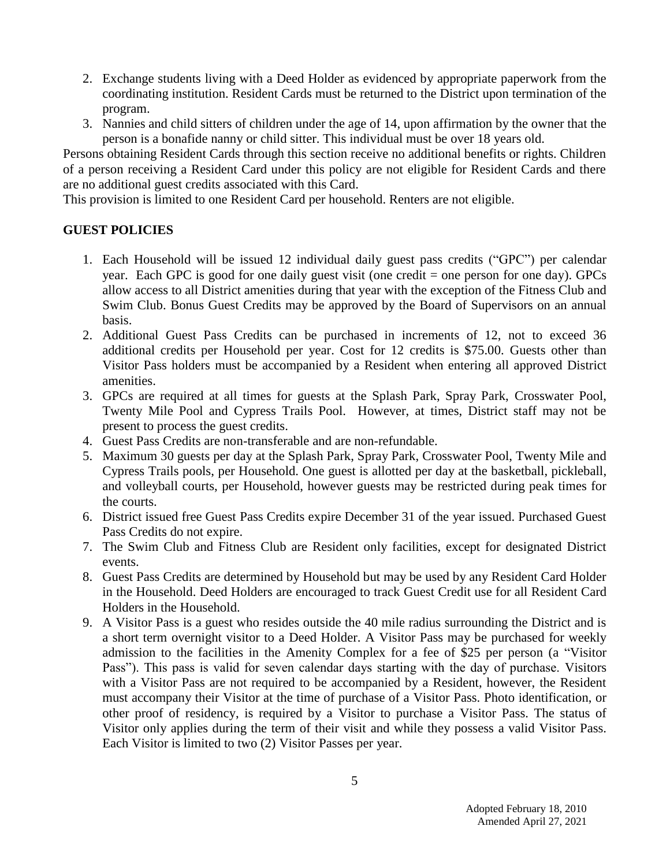- 2. Exchange students living with a Deed Holder as evidenced by appropriate paperwork from the coordinating institution. Resident Cards must be returned to the District upon termination of the program.
- 3. Nannies and child sitters of children under the age of 14, upon affirmation by the owner that the person is a bonafide nanny or child sitter. This individual must be over 18 years old.

Persons obtaining Resident Cards through this section receive no additional benefits or rights. Children of a person receiving a Resident Card under this policy are not eligible for Resident Cards and there are no additional guest credits associated with this Card.

This provision is limited to one Resident Card per household. Renters are not eligible.

## **GUEST POLICIES**

- 1. Each Household will be issued 12 individual daily guest pass credits ("GPC") per calendar year. Each GPC is good for one daily guest visit (one credit = one person for one day). GPCs allow access to all District amenities during that year with the exception of the Fitness Club and Swim Club. Bonus Guest Credits may be approved by the Board of Supervisors on an annual basis.
- 2. Additional Guest Pass Credits can be purchased in increments of 12, not to exceed 36 additional credits per Household per year. Cost for 12 credits is \$75.00. Guests other than Visitor Pass holders must be accompanied by a Resident when entering all approved District amenities.
- 3. GPCs are required at all times for guests at the Splash Park, Spray Park, Crosswater Pool, Twenty Mile Pool and Cypress Trails Pool. However, at times, District staff may not be present to process the guest credits.
- 4. Guest Pass Credits are non-transferable and are non-refundable.
- 5. Maximum 30 guests per day at the Splash Park, Spray Park, Crosswater Pool, Twenty Mile and Cypress Trails pools, per Household. One guest is allotted per day at the basketball, pickleball, and volleyball courts, per Household, however guests may be restricted during peak times for the courts.
- 6. District issued free Guest Pass Credits expire December 31 of the year issued. Purchased Guest Pass Credits do not expire.
- 7. The Swim Club and Fitness Club are Resident only facilities, except for designated District events.
- 8. Guest Pass Credits are determined by Household but may be used by any Resident Card Holder in the Household. Deed Holders are encouraged to track Guest Credit use for all Resident Card Holders in the Household.
- 9. A Visitor Pass is a guest who resides outside the 40 mile radius surrounding the District and is a short term overnight visitor to a Deed Holder. A Visitor Pass may be purchased for weekly admission to the facilities in the Amenity Complex for a fee of \$25 per person (a "Visitor Pass"). This pass is valid for seven calendar days starting with the day of purchase. Visitors with a Visitor Pass are not required to be accompanied by a Resident, however, the Resident must accompany their Visitor at the time of purchase of a Visitor Pass. Photo identification, or other proof of residency, is required by a Visitor to purchase a Visitor Pass. The status of Visitor only applies during the term of their visit and while they possess a valid Visitor Pass. Each Visitor is limited to two (2) Visitor Passes per year.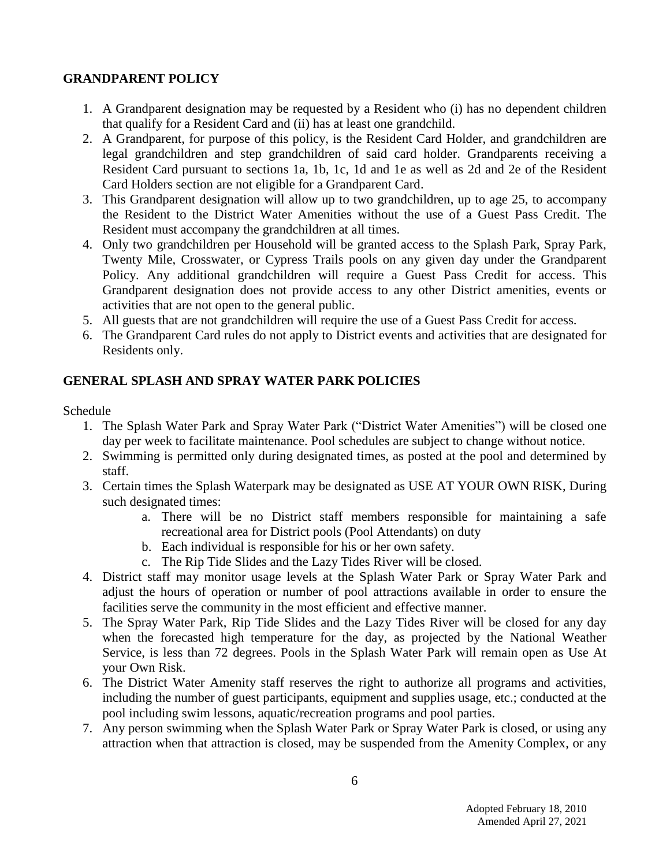### **GRANDPARENT POLICY**

- 1. A Grandparent designation may be requested by a Resident who (i) has no dependent children that qualify for a Resident Card and (ii) has at least one grandchild.
- 2. A Grandparent, for purpose of this policy, is the Resident Card Holder, and grandchildren are legal grandchildren and step grandchildren of said card holder. Grandparents receiving a Resident Card pursuant to sections 1a, 1b, 1c, 1d and 1e as well as 2d and 2e of the Resident Card Holders section are not eligible for a Grandparent Card.
- 3. This Grandparent designation will allow up to two grandchildren, up to age 25, to accompany the Resident to the District Water Amenities without the use of a Guest Pass Credit. The Resident must accompany the grandchildren at all times.
- 4. Only two grandchildren per Household will be granted access to the Splash Park, Spray Park, Twenty Mile, Crosswater, or Cypress Trails pools on any given day under the Grandparent Policy. Any additional grandchildren will require a Guest Pass Credit for access. This Grandparent designation does not provide access to any other District amenities, events or activities that are not open to the general public.
- 5. All guests that are not grandchildren will require the use of a Guest Pass Credit for access.
- 6. The Grandparent Card rules do not apply to District events and activities that are designated for Residents only.

# **GENERAL SPLASH AND SPRAY WATER PARK POLICIES**

Schedule

- 1. The Splash Water Park and Spray Water Park ("District Water Amenities") will be closed one day per week to facilitate maintenance. Pool schedules are subject to change without notice.
- 2. Swimming is permitted only during designated times, as posted at the pool and determined by staff.
- 3. Certain times the Splash Waterpark may be designated as USE AT YOUR OWN RISK, During such designated times:
	- a. There will be no District staff members responsible for maintaining a safe recreational area for District pools (Pool Attendants) on duty
	- b. Each individual is responsible for his or her own safety.
	- c. The Rip Tide Slides and the Lazy Tides River will be closed.
- 4. District staff may monitor usage levels at the Splash Water Park or Spray Water Park and adjust the hours of operation or number of pool attractions available in order to ensure the facilities serve the community in the most efficient and effective manner.
- 5. The Spray Water Park, Rip Tide Slides and the Lazy Tides River will be closed for any day when the forecasted high temperature for the day, as projected by the National Weather Service, is less than 72 degrees. Pools in the Splash Water Park will remain open as Use At your Own Risk.
- 6. The District Water Amenity staff reserves the right to authorize all programs and activities, including the number of guest participants, equipment and supplies usage, etc.; conducted at the pool including swim lessons, aquatic/recreation programs and pool parties.
- 7. Any person swimming when the Splash Water Park or Spray Water Park is closed, or using any attraction when that attraction is closed, may be suspended from the Amenity Complex, or any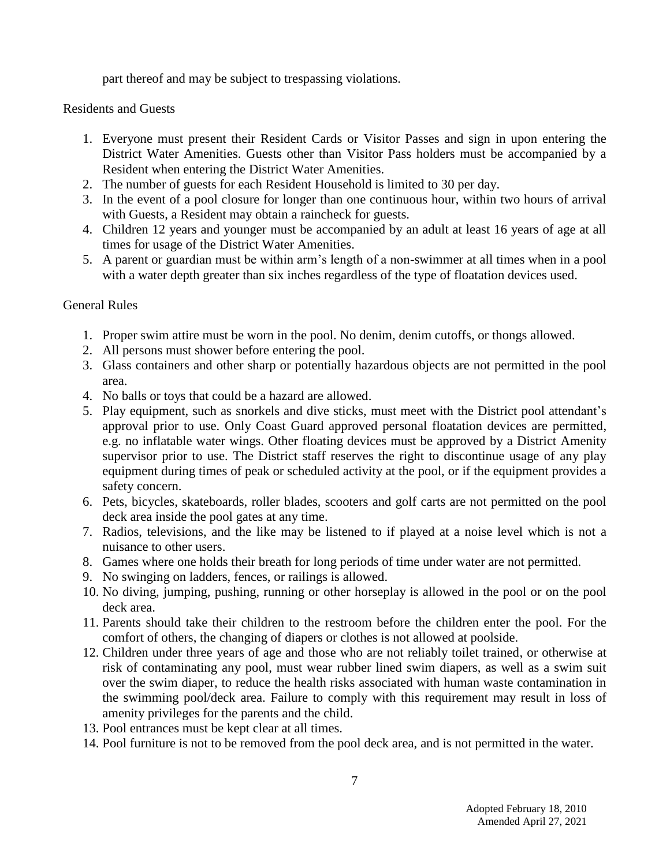part thereof and may be subject to trespassing violations.

Residents and Guests

- 1. Everyone must present their Resident Cards or Visitor Passes and sign in upon entering the District Water Amenities. Guests other than Visitor Pass holders must be accompanied by a Resident when entering the District Water Amenities.
- 2. The number of guests for each Resident Household is limited to 30 per day.
- 3. In the event of a pool closure for longer than one continuous hour, within two hours of arrival with Guests, a Resident may obtain a raincheck for guests.
- 4. Children 12 years and younger must be accompanied by an adult at least 16 years of age at all times for usage of the District Water Amenities.
- 5. A parent or guardian must be within arm's length of a non-swimmer at all times when in a pool with a water depth greater than six inches regardless of the type of floatation devices used.

General Rules

- 1. Proper swim attire must be worn in the pool. No denim, denim cutoffs, or thongs allowed.
- 2. All persons must shower before entering the pool.
- 3. Glass containers and other sharp or potentially hazardous objects are not permitted in the pool area.
- 4. No balls or toys that could be a hazard are allowed.
- 5. Play equipment, such as snorkels and dive sticks, must meet with the District pool attendant's approval prior to use. Only Coast Guard approved personal floatation devices are permitted, e.g. no inflatable water wings. Other floating devices must be approved by a District Amenity supervisor prior to use. The District staff reserves the right to discontinue usage of any play equipment during times of peak or scheduled activity at the pool, or if the equipment provides a safety concern.
- 6. Pets, bicycles, skateboards, roller blades, scooters and golf carts are not permitted on the pool deck area inside the pool gates at any time.
- 7. Radios, televisions, and the like may be listened to if played at a noise level which is not a nuisance to other users.
- 8. Games where one holds their breath for long periods of time under water are not permitted.
- 9. No swinging on ladders, fences, or railings is allowed.
- 10. No diving, jumping, pushing, running or other horseplay is allowed in the pool or on the pool deck area.
- 11. Parents should take their children to the restroom before the children enter the pool. For the comfort of others, the changing of diapers or clothes is not allowed at poolside.
- 12. Children under three years of age and those who are not reliably toilet trained, or otherwise at risk of contaminating any pool, must wear rubber lined swim diapers, as well as a swim suit over the swim diaper, to reduce the health risks associated with human waste contamination in the swimming pool/deck area. Failure to comply with this requirement may result in loss of amenity privileges for the parents and the child.
- 13. Pool entrances must be kept clear at all times.
- 14. Pool furniture is not to be removed from the pool deck area, and is not permitted in the water.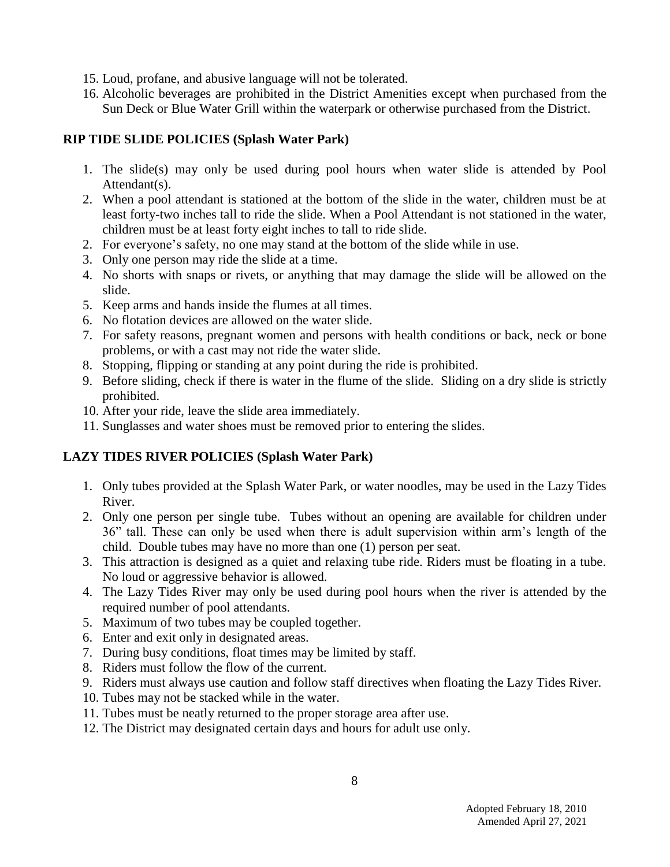- 15. Loud, profane, and abusive language will not be tolerated.
- 16. Alcoholic beverages are prohibited in the District Amenities except when purchased from the Sun Deck or Blue Water Grill within the waterpark or otherwise purchased from the District.

# **RIP TIDE SLIDE POLICIES (Splash Water Park)**

- 1. The slide(s) may only be used during pool hours when water slide is attended by Pool Attendant(s).
- 2. When a pool attendant is stationed at the bottom of the slide in the water, children must be at least forty-two inches tall to ride the slide. When a Pool Attendant is not stationed in the water, children must be at least forty eight inches to tall to ride slide.
- 2. For everyone's safety, no one may stand at the bottom of the slide while in use.
- 3. Only one person may ride the slide at a time.
- 4. No shorts with snaps or rivets, or anything that may damage the slide will be allowed on the slide.
- 5. Keep arms and hands inside the flumes at all times.
- 6. No flotation devices are allowed on the water slide.
- 7. For safety reasons, pregnant women and persons with health conditions or back, neck or bone problems, or with a cast may not ride the water slide.
- 8. Stopping, flipping or standing at any point during the ride is prohibited.
- 9. Before sliding, check if there is water in the flume of the slide. Sliding on a dry slide is strictly prohibited.
- 10. After your ride, leave the slide area immediately.
- 11. Sunglasses and water shoes must be removed prior to entering the slides.

# **LAZY TIDES RIVER POLICIES (Splash Water Park)**

- 1. Only tubes provided at the Splash Water Park, or water noodles, may be used in the Lazy Tides River.
- 2. Only one person per single tube. Tubes without an opening are available for children under 36" tall. These can only be used when there is adult supervision within arm's length of the child. Double tubes may have no more than one (1) person per seat.
- 3. This attraction is designed as a quiet and relaxing tube ride. Riders must be floating in a tube. No loud or aggressive behavior is allowed.
- 4. The Lazy Tides River may only be used during pool hours when the river is attended by the required number of pool attendants.
- 5. Maximum of two tubes may be coupled together.
- 6. Enter and exit only in designated areas.
- 7. During busy conditions, float times may be limited by staff.
- 8. Riders must follow the flow of the current.
- 9. Riders must always use caution and follow staff directives when floating the Lazy Tides River.
- 10. Tubes may not be stacked while in the water.
- 11. Tubes must be neatly returned to the proper storage area after use.
- 12. The District may designated certain days and hours for adult use only.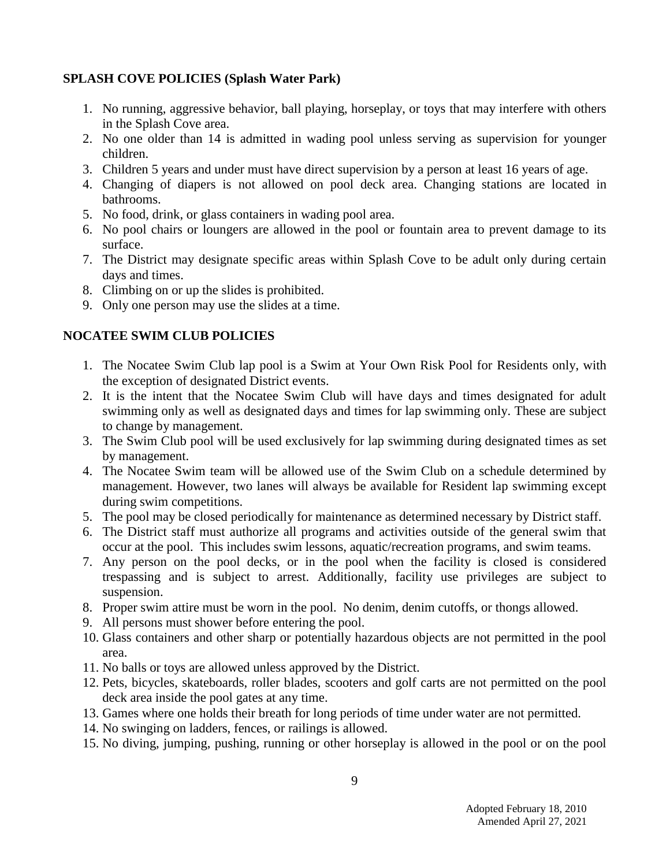### **SPLASH COVE POLICIES (Splash Water Park)**

- 1. No running, aggressive behavior, ball playing, horseplay, or toys that may interfere with others in the Splash Cove area.
- 2. No one older than 14 is admitted in wading pool unless serving as supervision for younger children.
- 3. Children 5 years and under must have direct supervision by a person at least 16 years of age.
- 4. Changing of diapers is not allowed on pool deck area. Changing stations are located in bathrooms.
- 5. No food, drink, or glass containers in wading pool area.
- 6. No pool chairs or loungers are allowed in the pool or fountain area to prevent damage to its surface.
- 7. The District may designate specific areas within Splash Cove to be adult only during certain days and times.
- 8. Climbing on or up the slides is prohibited.
- 9. Only one person may use the slides at a time.

# **NOCATEE SWIM CLUB POLICIES**

- 1. The Nocatee Swim Club lap pool is a Swim at Your Own Risk Pool for Residents only, with the exception of designated District events.
- 2. It is the intent that the Nocatee Swim Club will have days and times designated for adult swimming only as well as designated days and times for lap swimming only. These are subject to change by management.
- 3. The Swim Club pool will be used exclusively for lap swimming during designated times as set by management.
- 4. The Nocatee Swim team will be allowed use of the Swim Club on a schedule determined by management. However, two lanes will always be available for Resident lap swimming except during swim competitions.
- 5. The pool may be closed periodically for maintenance as determined necessary by District staff.
- 6. The District staff must authorize all programs and activities outside of the general swim that occur at the pool. This includes swim lessons, aquatic/recreation programs, and swim teams.
- 7. Any person on the pool decks, or in the pool when the facility is closed is considered trespassing and is subject to arrest. Additionally, facility use privileges are subject to suspension.
- 8. Proper swim attire must be worn in the pool. No denim, denim cutoffs, or thongs allowed.
- 9. All persons must shower before entering the pool.
- 10. Glass containers and other sharp or potentially hazardous objects are not permitted in the pool area.
- 11. No balls or toys are allowed unless approved by the District.
- 12. Pets, bicycles, skateboards, roller blades, scooters and golf carts are not permitted on the pool deck area inside the pool gates at any time.
- 13. Games where one holds their breath for long periods of time under water are not permitted.
- 14. No swinging on ladders, fences, or railings is allowed.
- 15. No diving, jumping, pushing, running or other horseplay is allowed in the pool or on the pool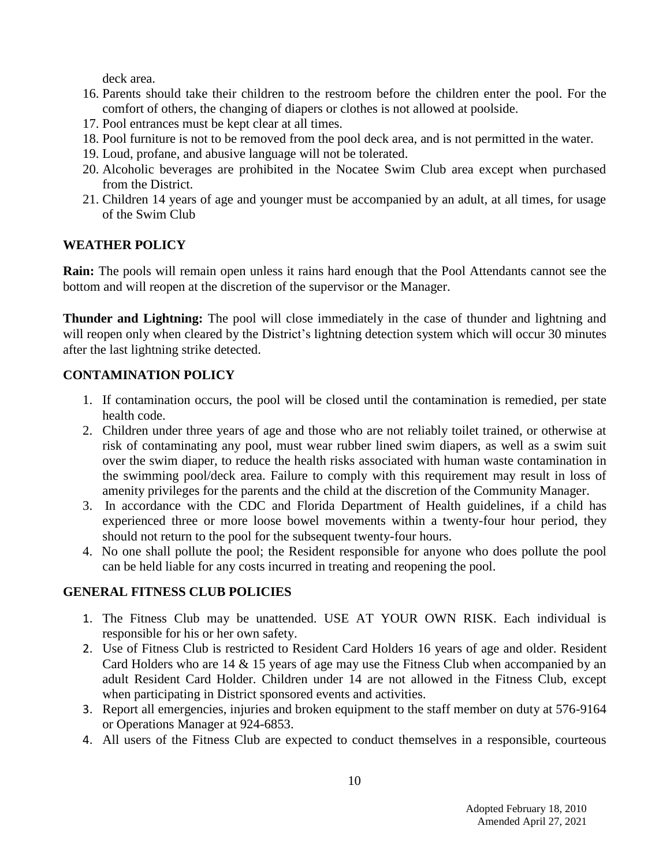deck area.

- 16. Parents should take their children to the restroom before the children enter the pool. For the comfort of others, the changing of diapers or clothes is not allowed at poolside.
- 17. Pool entrances must be kept clear at all times.
- 18. Pool furniture is not to be removed from the pool deck area, and is not permitted in the water.
- 19. Loud, profane, and abusive language will not be tolerated.
- 20. Alcoholic beverages are prohibited in the Nocatee Swim Club area except when purchased from the District.
- 21. Children 14 years of age and younger must be accompanied by an adult, at all times, for usage of the Swim Club

## **WEATHER POLICY**

**Rain:** The pools will remain open unless it rains hard enough that the Pool Attendants cannot see the bottom and will reopen at the discretion of the supervisor or the Manager.

**Thunder and Lightning:** The pool will close immediately in the case of thunder and lightning and will reopen only when cleared by the District's lightning detection system which will occur 30 minutes after the last lightning strike detected.

## **CONTAMINATION POLICY**

- 1. If contamination occurs, the pool will be closed until the contamination is remedied, per state health code.
- 2. Children under three years of age and those who are not reliably toilet trained, or otherwise at risk of contaminating any pool, must wear rubber lined swim diapers, as well as a swim suit over the swim diaper, to reduce the health risks associated with human waste contamination in the swimming pool/deck area. Failure to comply with this requirement may result in loss of amenity privileges for the parents and the child at the discretion of the Community Manager.
- 3. In accordance with the CDC and Florida Department of Health guidelines, if a child has experienced three or more loose bowel movements within a twenty-four hour period, they should not return to the pool for the subsequent twenty-four hours.
- 4. No one shall pollute the pool; the Resident responsible for anyone who does pollute the pool can be held liable for any costs incurred in treating and reopening the pool.

### **GENERAL FITNESS CLUB POLICIES**

- 1. The Fitness Club may be unattended. USE AT YOUR OWN RISK. Each individual is responsible for his or her own safety.
- 2. Use of Fitness Club is restricted to Resident Card Holders 16 years of age and older. Resident Card Holders who are 14 & 15 years of age may use the Fitness Club when accompanied by an adult Resident Card Holder. Children under 14 are not allowed in the Fitness Club, except when participating in District sponsored events and activities.
- 3. Report all emergencies, injuries and broken equipment to the staff member on duty at 576-9164 or Operations Manager at 924-6853.
- 4. All users of the Fitness Club are expected to conduct themselves in a responsible, courteous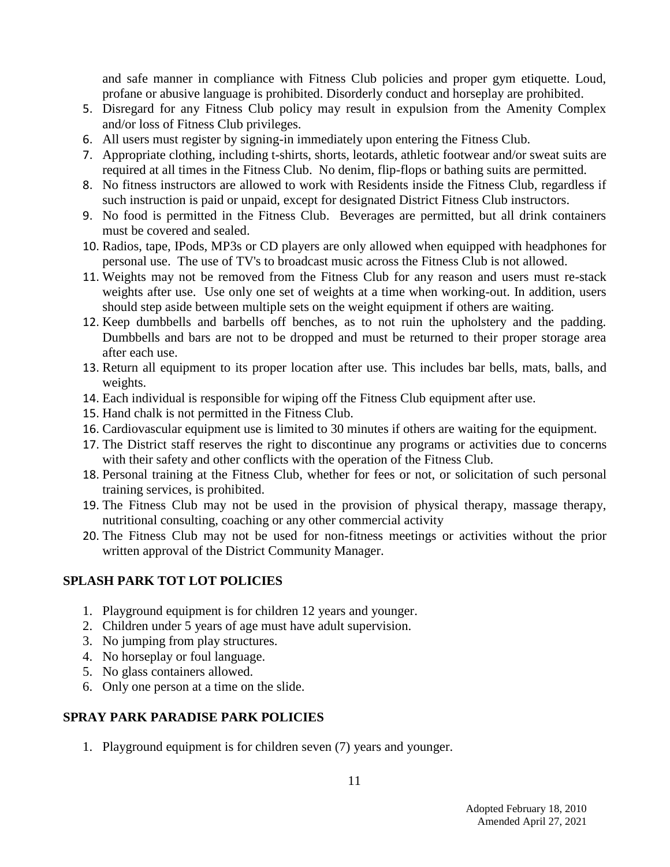and safe manner in compliance with Fitness Club policies and proper gym etiquette. Loud, profane or abusive language is prohibited. Disorderly conduct and horseplay are prohibited.

- 5. Disregard for any Fitness Club policy may result in expulsion from the Amenity Complex and/or loss of Fitness Club privileges.
- 6. All users must register by signing-in immediately upon entering the Fitness Club.
- 7. Appropriate clothing, including t-shirts, shorts, leotards, athletic footwear and/or sweat suits are required at all times in the Fitness Club. No denim, flip-flops or bathing suits are permitted.
- 8. No fitness instructors are allowed to work with Residents inside the Fitness Club, regardless if such instruction is paid or unpaid, except for designated District Fitness Club instructors.
- 9. No food is permitted in the Fitness Club. Beverages are permitted, but all drink containers must be covered and sealed.
- 10. Radios, tape, IPods, MP3s or CD players are only allowed when equipped with headphones for personal use. The use of TV's to broadcast music across the Fitness Club is not allowed.
- 11. Weights may not be removed from the Fitness Club for any reason and users must re-stack weights after use. Use only one set of weights at a time when working-out. In addition, users should step aside between multiple sets on the weight equipment if others are waiting.
- 12. Keep dumbbells and barbells off benches, as to not ruin the upholstery and the padding. Dumbbells and bars are not to be dropped and must be returned to their proper storage area after each use.
- 13. Return all equipment to its proper location after use. This includes bar bells, mats, balls, and weights.
- 14. Each individual is responsible for wiping off the Fitness Club equipment after use.
- 15. Hand chalk is not permitted in the Fitness Club.
- 16. Cardiovascular equipment use is limited to 30 minutes if others are waiting for the equipment.
- 17. The District staff reserves the right to discontinue any programs or activities due to concerns with their safety and other conflicts with the operation of the Fitness Club.
- 18. Personal training at the Fitness Club, whether for fees or not, or solicitation of such personal training services, is prohibited.
- 19. The Fitness Club may not be used in the provision of physical therapy, massage therapy, nutritional consulting, coaching or any other commercial activity
- 20. The Fitness Club may not be used for non-fitness meetings or activities without the prior written approval of the District Community Manager.

# **SPLASH PARK TOT LOT POLICIES**

- 1. Playground equipment is for children 12 years and younger.
- 2. Children under 5 years of age must have adult supervision.
- 3. No jumping from play structures.
- 4. No horseplay or foul language.
- 5. No glass containers allowed.
- 6. Only one person at a time on the slide.

# **SPRAY PARK PARADISE PARK POLICIES**

1. Playground equipment is for children seven (7) years and younger.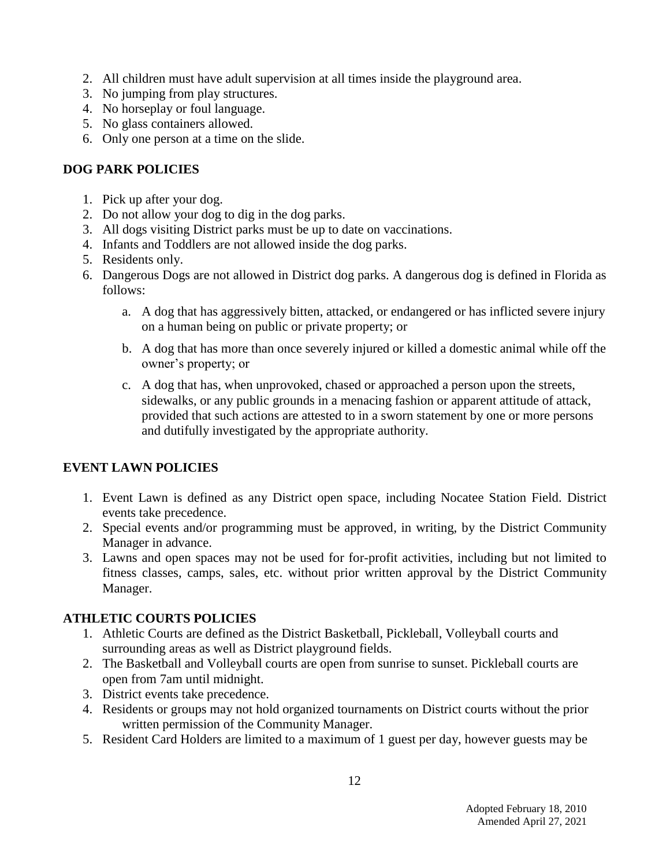- 2. All children must have adult supervision at all times inside the playground area.
- 3. No jumping from play structures.
- 4. No horseplay or foul language.
- 5. No glass containers allowed.
- 6. Only one person at a time on the slide.

# **DOG PARK POLICIES**

- 1. Pick up after your dog.
- 2. Do not allow your dog to dig in the dog parks.
- 3. All dogs visiting District parks must be up to date on vaccinations.
- 4. Infants and Toddlers are not allowed inside the dog parks.
- 5. Residents only.
- 6. Dangerous Dogs are not allowed in District dog parks. A dangerous dog is defined in Florida as follows:
	- a. A dog that has aggressively bitten, attacked, or endangered or has inflicted severe injury on a human being on public or private property; or
	- b. A dog that has more than once severely injured or killed a domestic animal while off the owner's property; or
	- c. A dog that has, when unprovoked, chased or approached a person upon the streets, sidewalks, or any public grounds in a menacing fashion or apparent attitude of attack, provided that such actions are attested to in a sworn statement by one or more persons and dutifully investigated by the appropriate authority.

# **EVENT LAWN POLICIES**

- 1. Event Lawn is defined as any District open space, including Nocatee Station Field. District events take precedence.
- 2. Special events and/or programming must be approved, in writing, by the District Community Manager in advance.
- 3. Lawns and open spaces may not be used for for-profit activities, including but not limited to fitness classes, camps, sales, etc. without prior written approval by the District Community Manager.

# **ATHLETIC COURTS POLICIES**

- 1. Athletic Courts are defined as the District Basketball, Pickleball, Volleyball courts and surrounding areas as well as District playground fields.
- 2. The Basketball and Volleyball courts are open from sunrise to sunset. Pickleball courts are open from 7am until midnight.
- 3. District events take precedence.
- 4. Residents or groups may not hold organized tournaments on District courts without the prior written permission of the Community Manager.
- 5. Resident Card Holders are limited to a maximum of 1 guest per day, however guests may be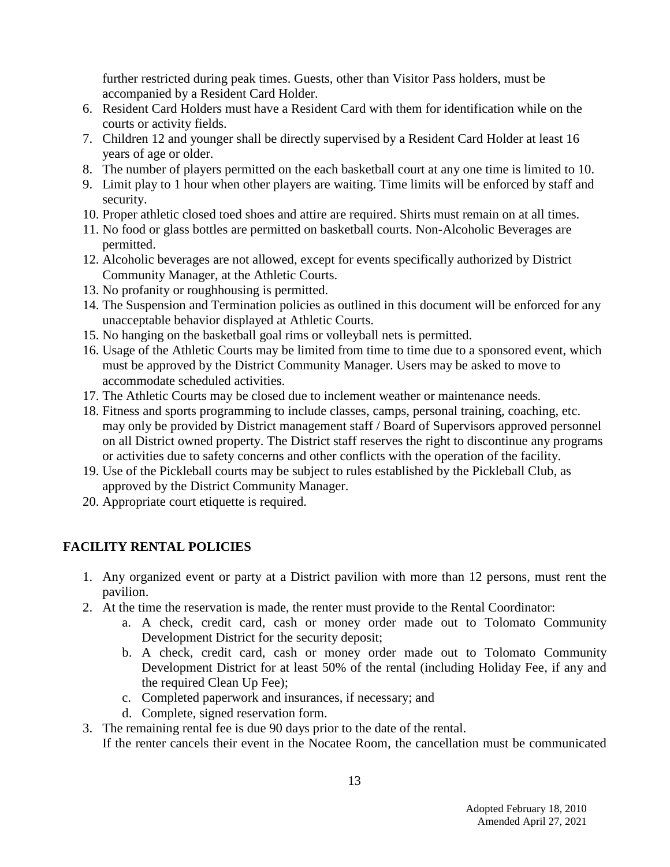further restricted during peak times. Guests, other than Visitor Pass holders, must be accompanied by a Resident Card Holder.

- 6. Resident Card Holders must have a Resident Card with them for identification while on the courts or activity fields.
- 7. Children 12 and younger shall be directly supervised by a Resident Card Holder at least 16 years of age or older.
- 8. The number of players permitted on the each basketball court at any one time is limited to 10.
- 9. Limit play to 1 hour when other players are waiting. Time limits will be enforced by staff and security.
- 10. Proper athletic closed toed shoes and attire are required. Shirts must remain on at all times.
- 11. No food or glass bottles are permitted on basketball courts. Non-Alcoholic Beverages are permitted.
- 12. Alcoholic beverages are not allowed, except for events specifically authorized by District Community Manager, at the Athletic Courts.
- 13. No profanity or roughhousing is permitted.
- 14. The Suspension and Termination policies as outlined in this document will be enforced for any unacceptable behavior displayed at Athletic Courts.
- 15. No hanging on the basketball goal rims or volleyball nets is permitted.
- 16. Usage of the Athletic Courts may be limited from time to time due to a sponsored event, which must be approved by the District Community Manager. Users may be asked to move to accommodate scheduled activities.
- 17. The Athletic Courts may be closed due to inclement weather or maintenance needs.
- 18. Fitness and sports programming to include classes, camps, personal training, coaching, etc. may only be provided by District management staff / Board of Supervisors approved personnel on all District owned property. The District staff reserves the right to discontinue any programs or activities due to safety concerns and other conflicts with the operation of the facility.
- 19. Use of the Pickleball courts may be subject to rules established by the Pickleball Club, as approved by the District Community Manager.
- 20. Appropriate court etiquette is required.

# **FACILITY RENTAL POLICIES**

- 1. Any organized event or party at a District pavilion with more than 12 persons, must rent the pavilion.
- 2. At the time the reservation is made, the renter must provide to the Rental Coordinator:
	- a. A check, credit card, cash or money order made out to Tolomato Community Development District for the security deposit;
	- b. A check, credit card, cash or money order made out to Tolomato Community Development District for at least 50% of the rental (including Holiday Fee, if any and the required Clean Up Fee);
	- c. Completed paperwork and insurances, if necessary; and
	- d. Complete, signed reservation form.
- 3. The remaining rental fee is due 90 days prior to the date of the rental. If the renter cancels their event in the Nocatee Room, the cancellation must be communicated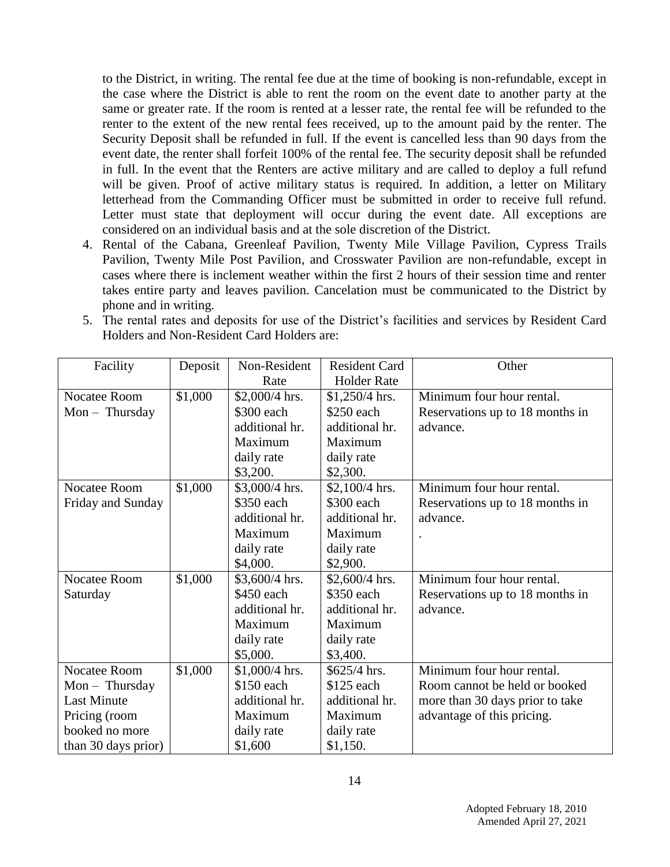to the District, in writing. The rental fee due at the time of booking is non-refundable, except in the case where the District is able to rent the room on the event date to another party at the same or greater rate. If the room is rented at a lesser rate, the rental fee will be refunded to the renter to the extent of the new rental fees received, up to the amount paid by the renter. The Security Deposit shall be refunded in full. If the event is cancelled less than 90 days from the event date, the renter shall forfeit 100% of the rental fee. The security deposit shall be refunded in full. In the event that the Renters are active military and are called to deploy a full refund will be given. Proof of active military status is required. In addition, a letter on Military letterhead from the Commanding Officer must be submitted in order to receive full refund. Letter must state that deployment will occur during the event date. All exceptions are considered on an individual basis and at the sole discretion of the District.

4. Rental of the Cabana, Greenleaf Pavilion, Twenty Mile Village Pavilion, Cypress Trails Pavilion, Twenty Mile Post Pavilion, and Crosswater Pavilion are non-refundable, except in cases where there is inclement weather within the first 2 hours of their session time and renter takes entire party and leaves pavilion. Cancelation must be communicated to the District by phone and in writing.

| 5. The rental rates and deposits for use of the District's facilities and services by Resident Card |
|-----------------------------------------------------------------------------------------------------|
| Holders and Non-Resident Card Holders are:                                                          |

| Facility            | Deposit | Non-Resident    | <b>Resident Card</b> | Other                           |
|---------------------|---------|-----------------|----------------------|---------------------------------|
|                     |         | Rate            | <b>Holder Rate</b>   |                                 |
| Nocatee Room        | \$1,000 | $$2,000/4$ hrs. | $$1,250/4$ hrs.      | Minimum four hour rental.       |
| $Mon - Thursday$    |         | \$300 each      | \$250 each           | Reservations up to 18 months in |
|                     |         | additional hr.  | additional hr.       | advance.                        |
|                     |         | Maximum         | Maximum              |                                 |
|                     |         | daily rate      | daily rate           |                                 |
|                     |         | \$3,200.        | \$2,300.             |                                 |
| Nocatee Room        | \$1,000 | $$3,000/4$ hrs. | $$2,100/4$ hrs.      | Minimum four hour rental.       |
| Friday and Sunday   |         | \$350 each      | \$300 each           | Reservations up to 18 months in |
|                     |         | additional hr.  | additional hr.       | advance.                        |
|                     |         | Maximum         | Maximum              |                                 |
|                     |         | daily rate      | daily rate           |                                 |
|                     |         | \$4,000.        | \$2,900.             |                                 |
| Nocatee Room        | \$1,000 | \$3,600/4 hrs.  | \$2,600/4 hrs.       | Minimum four hour rental.       |
| Saturday            |         | \$450 each      | \$350 each           | Reservations up to 18 months in |
|                     |         | additional hr.  | additional hr.       | advance.                        |
|                     |         | Maximum         | Maximum              |                                 |
|                     |         | daily rate      | daily rate           |                                 |
|                     |         | \$5,000.        | \$3,400.             |                                 |
| Nocatee Room        | \$1,000 | \$1,000/4 hrs.  | \$625/4 hrs.         | Minimum four hour rental.       |
| $Mon - Thursday$    |         | \$150 each      | \$125 each           | Room cannot be held or booked   |
| <b>Last Minute</b>  |         | additional hr.  | additional hr.       | more than 30 days prior to take |
| Pricing (room       |         | Maximum         | Maximum              | advantage of this pricing.      |
| booked no more      |         | daily rate      | daily rate           |                                 |
| than 30 days prior) |         | \$1,600         | \$1,150.             |                                 |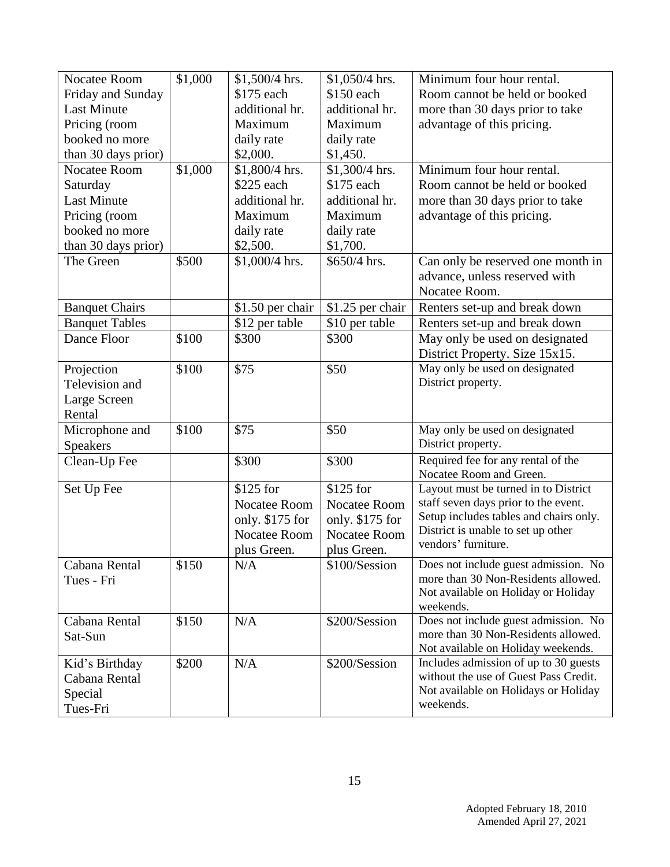| Nocatee Room          | \$1,000 | \$1,500/4 hrs.   | \$1,050/4 hrs.      | Minimum four hour rental.              |
|-----------------------|---------|------------------|---------------------|----------------------------------------|
| Friday and Sunday     |         | \$175 each       | \$150 each          | Room cannot be held or booked          |
| <b>Last Minute</b>    |         | additional hr.   | additional hr.      | more than 30 days prior to take        |
| Pricing (room         |         | Maximum          | Maximum             | advantage of this pricing.             |
| booked no more        |         | daily rate       | daily rate          |                                        |
| than 30 days prior)   |         | \$2,000.         | \$1,450.            |                                        |
| Nocatee Room          | \$1,000 | \$1,800/4 hrs.   | \$1,300/4 hrs.      | Minimum four hour rental.              |
| Saturday              |         | \$225 each       | \$175 each          | Room cannot be held or booked          |
| <b>Last Minute</b>    |         | additional hr.   | additional hr.      | more than 30 days prior to take        |
| Pricing (room         |         | Maximum          | Maximum             | advantage of this pricing.             |
| booked no more        |         | daily rate       | daily rate          |                                        |
| than 30 days prior)   |         | \$2,500.         | \$1,700.            |                                        |
| The Green             | \$500   | \$1,000/4 hrs.   | \$650/4 hrs.        | Can only be reserved one month in      |
|                       |         |                  |                     | advance, unless reserved with          |
|                       |         |                  |                     | Nocatee Room.                          |
| <b>Banquet Chairs</b> |         | \$1.50 per chair | \$1.25 per chair    | Renters set-up and break down          |
| <b>Banquet Tables</b> |         | \$12 per table   | \$10 per table      | Renters set-up and break down          |
| Dance Floor           | \$100   | \$300            | \$300               | May only be used on designated         |
|                       |         |                  |                     | District Property. Size 15x15.         |
| Projection            | \$100   | \$75             | \$50                | May only be used on designated         |
| Television and        |         |                  |                     | District property.                     |
| Large Screen          |         |                  |                     |                                        |
| Rental                |         |                  |                     |                                        |
| Microphone and        | \$100   | \$75             | \$50                | May only be used on designated         |
| <b>Speakers</b>       |         |                  |                     | District property.                     |
| Clean-Up Fee          |         | \$300            | \$300               | Required fee for any rental of the     |
|                       |         |                  |                     | Nocatee Room and Green.                |
| Set Up Fee            |         | \$125 for        | \$125 for           | Layout must be turned in to District   |
|                       |         | Nocatee Room     | <b>Nocatee Room</b> | staff seven days prior to the event.   |
|                       |         | only. \$175 for  | only. \$175 for     | Setup includes tables and chairs only. |
|                       |         | Nocatee Room     | <b>Nocatee Room</b> | District is unable to set up other     |
|                       |         | plus Green.      | plus Green.         | vendors' furniture.                    |
| Cabana Rental         | \$150   | N/A              | \$100/Session       | Does not include guest admission. No   |
| Tues - Fri            |         |                  |                     | more than 30 Non-Residents allowed.    |
|                       |         |                  |                     | Not available on Holiday or Holiday    |
|                       |         |                  |                     | weekends.                              |
| Cabana Rental         | \$150   | N/A              | \$200/Session       | Does not include guest admission. No   |
| Sat-Sun               |         |                  |                     | more than 30 Non-Residents allowed.    |
|                       |         |                  |                     | Not available on Holiday weekends.     |
| Kid's Birthday        | \$200   | N/A              | \$200/Session       | Includes admission of up to 30 guests  |
| Cabana Rental         |         |                  |                     | without the use of Guest Pass Credit.  |
| Special               |         |                  |                     | Not available on Holidays or Holiday   |
| Tues-Fri              |         |                  |                     | weekends.                              |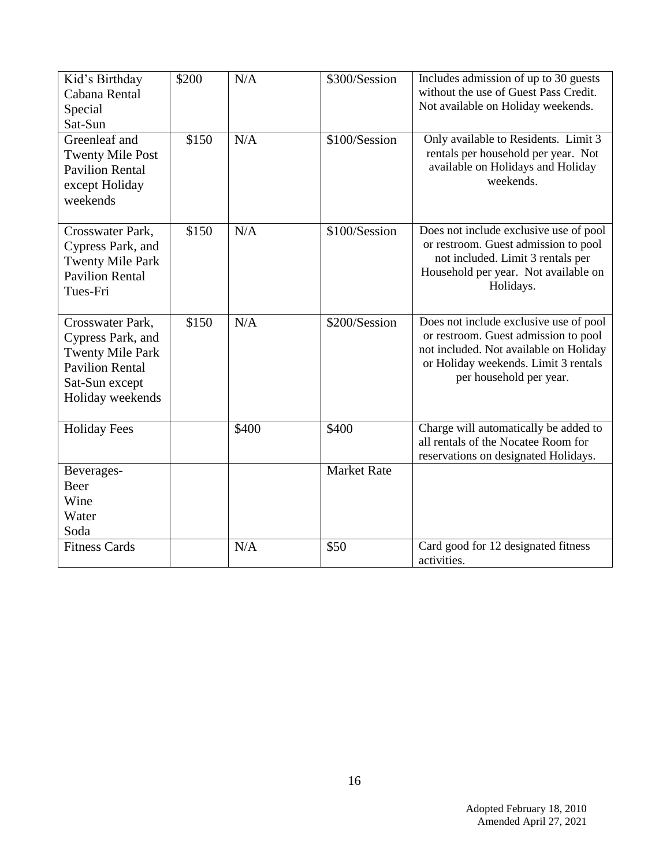| Kid's Birthday<br>Cabana Rental<br>Special<br>Sat-Sun                                                                            | \$200 | N/A   | \$300/Session      | Includes admission of up to 30 guests<br>without the use of Guest Pass Credit.<br>Not available on Holiday weekends.                                                                        |
|----------------------------------------------------------------------------------------------------------------------------------|-------|-------|--------------------|---------------------------------------------------------------------------------------------------------------------------------------------------------------------------------------------|
| Greenleaf and<br><b>Twenty Mile Post</b><br><b>Pavilion Rental</b><br>except Holiday<br>weekends                                 | \$150 | N/A   | \$100/Session      | Only available to Residents. Limit 3<br>rentals per household per year. Not<br>available on Holidays and Holiday<br>weekends.                                                               |
| Crosswater Park,<br>Cypress Park, and<br><b>Twenty Mile Park</b><br><b>Pavilion Rental</b><br>Tues-Fri                           | \$150 | N/A   | \$100/Session      | Does not include exclusive use of pool<br>or restroom. Guest admission to pool<br>not included. Limit 3 rentals per<br>Household per year. Not available on<br>Holidays.                    |
| Crosswater Park,<br>Cypress Park, and<br><b>Twenty Mile Park</b><br><b>Pavilion Rental</b><br>Sat-Sun except<br>Holiday weekends | \$150 | N/A   | \$200/Session      | Does not include exclusive use of pool<br>or restroom. Guest admission to pool<br>not included. Not available on Holiday<br>or Holiday weekends. Limit 3 rentals<br>per household per year. |
| <b>Holiday Fees</b>                                                                                                              |       | \$400 | \$400              | Charge will automatically be added to<br>all rentals of the Nocatee Room for<br>reservations on designated Holidays.                                                                        |
| Beverages-<br>Beer<br>Wine<br>Water<br>Soda                                                                                      |       |       | <b>Market Rate</b> |                                                                                                                                                                                             |
| <b>Fitness Cards</b>                                                                                                             |       | N/A   | \$50               | Card good for 12 designated fitness<br>activities.                                                                                                                                          |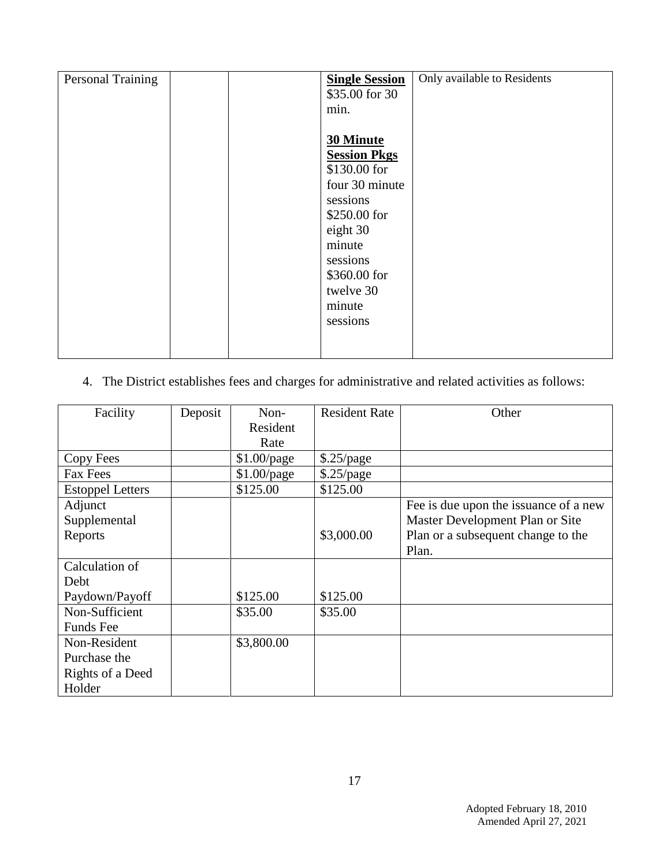| Personal Training | <b>Single Session</b> | Only available to Residents |
|-------------------|-----------------------|-----------------------------|
|                   | \$35.00 for 30        |                             |
|                   | min.                  |                             |
|                   |                       |                             |
|                   | <b>30 Minute</b>      |                             |
|                   | <b>Session Pkgs</b>   |                             |
|                   | \$130.00 for          |                             |
|                   | four 30 minute        |                             |
|                   | sessions              |                             |
|                   | \$250.00 for          |                             |
|                   | eight 30              |                             |
|                   | minute                |                             |
|                   | sessions              |                             |
|                   | \$360.00 for          |                             |
|                   | twelve 30             |                             |
|                   | minute                |                             |
|                   | sessions              |                             |
|                   |                       |                             |
|                   |                       |                             |

# 4. The District establishes fees and charges for administrative and related activities as follows:

| Facility                | Deposit | Non-          | <b>Resident Rate</b> | Other                                 |
|-------------------------|---------|---------------|----------------------|---------------------------------------|
|                         |         | Resident      |                      |                                       |
|                         |         | Rate          |                      |                                       |
| Copy Fees               |         | $$1.00$ /page | \$.25/page           |                                       |
| <b>Fax Fees</b>         |         | \$1.00/page   | \$.25/page           |                                       |
| <b>Estoppel Letters</b> |         | \$125.00      | \$125.00             |                                       |
| Adjunct                 |         |               |                      | Fee is due upon the issuance of a new |
| Supplemental            |         |               |                      | Master Development Plan or Site       |
| Reports                 |         |               | \$3,000.00           | Plan or a subsequent change to the    |
|                         |         |               |                      | Plan.                                 |
| Calculation of          |         |               |                      |                                       |
| Debt                    |         |               |                      |                                       |
| Paydown/Payoff          |         | \$125.00      | \$125.00             |                                       |
| Non-Sufficient          |         | \$35.00       | \$35.00              |                                       |
| <b>Funds</b> Fee        |         |               |                      |                                       |
| Non-Resident            |         | \$3,800.00    |                      |                                       |
| Purchase the            |         |               |                      |                                       |
| Rights of a Deed        |         |               |                      |                                       |
| Holder                  |         |               |                      |                                       |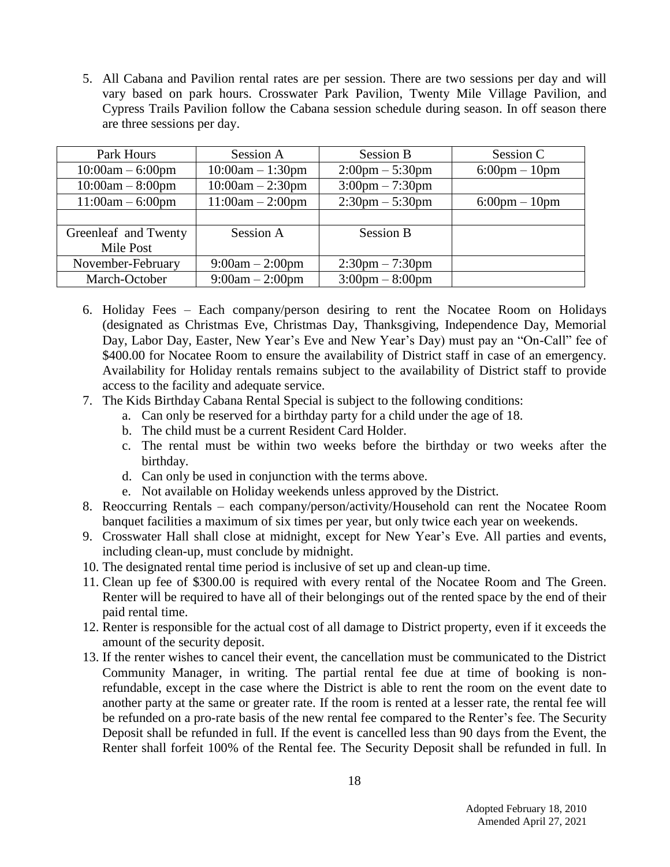5. All Cabana and Pavilion rental rates are per session. There are two sessions per day and will vary based on park hours. Crosswater Park Pavilion, Twenty Mile Village Pavilion, and Cypress Trails Pavilion follow the Cabana session schedule during season. In off season there are three sessions per day.

| Park Hours           | Session A          | <b>Session B</b>                  | Session C                       |
|----------------------|--------------------|-----------------------------------|---------------------------------|
| $10:00am - 6:00pm$   | $10:00am - 1:30pm$ | $2:00 \text{pm} - 5:30 \text{pm}$ | $6:00 \text{pm} - 10 \text{pm}$ |
| $10:00am - 8:00pm$   | $10:00am - 2:30pm$ | $3:00 \text{pm} - 7:30 \text{pm}$ |                                 |
| $11:00am - 6:00pm$   | $11:00am - 2:00pm$ | $2:30 \text{pm} - 5:30 \text{pm}$ | $6:00 \text{pm} - 10 \text{pm}$ |
|                      |                    |                                   |                                 |
| Greenleaf and Twenty | Session A          | <b>Session B</b>                  |                                 |
| Mile Post            |                    |                                   |                                 |
| November-February    | $9:00am - 2:00pm$  | $2:30 \text{pm} - 7:30 \text{pm}$ |                                 |
| March-October        | $9:00am - 2:00pm$  | $3:00 \text{pm} - 8:00 \text{pm}$ |                                 |

- 6. Holiday Fees Each company/person desiring to rent the Nocatee Room on Holidays (designated as Christmas Eve, Christmas Day, Thanksgiving, Independence Day, Memorial Day, Labor Day, Easter, New Year's Eve and New Year's Day) must pay an "On-Call" fee of \$400.00 for Nocatee Room to ensure the availability of District staff in case of an emergency. Availability for Holiday rentals remains subject to the availability of District staff to provide access to the facility and adequate service.
- 7. The Kids Birthday Cabana Rental Special is subject to the following conditions:
	- a. Can only be reserved for a birthday party for a child under the age of 18.
	- b. The child must be a current Resident Card Holder.
	- c. The rental must be within two weeks before the birthday or two weeks after the birthday.
	- d. Can only be used in conjunction with the terms above.
	- e. Not available on Holiday weekends unless approved by the District.
- 8. Reoccurring Rentals each company/person/activity/Household can rent the Nocatee Room banquet facilities a maximum of six times per year, but only twice each year on weekends.
- 9. Crosswater Hall shall close at midnight, except for New Year's Eve. All parties and events, including clean-up, must conclude by midnight.
- 10. The designated rental time period is inclusive of set up and clean-up time.
- 11. Clean up fee of \$300.00 is required with every rental of the Nocatee Room and The Green. Renter will be required to have all of their belongings out of the rented space by the end of their paid rental time.
- 12. Renter is responsible for the actual cost of all damage to District property, even if it exceeds the amount of the security deposit.
- 13. If the renter wishes to cancel their event, the cancellation must be communicated to the District Community Manager, in writing. The partial rental fee due at time of booking is nonrefundable, except in the case where the District is able to rent the room on the event date to another party at the same or greater rate. If the room is rented at a lesser rate, the rental fee will be refunded on a pro-rate basis of the new rental fee compared to the Renter's fee. The Security Deposit shall be refunded in full. If the event is cancelled less than 90 days from the Event, the Renter shall forfeit 100% of the Rental fee. The Security Deposit shall be refunded in full. In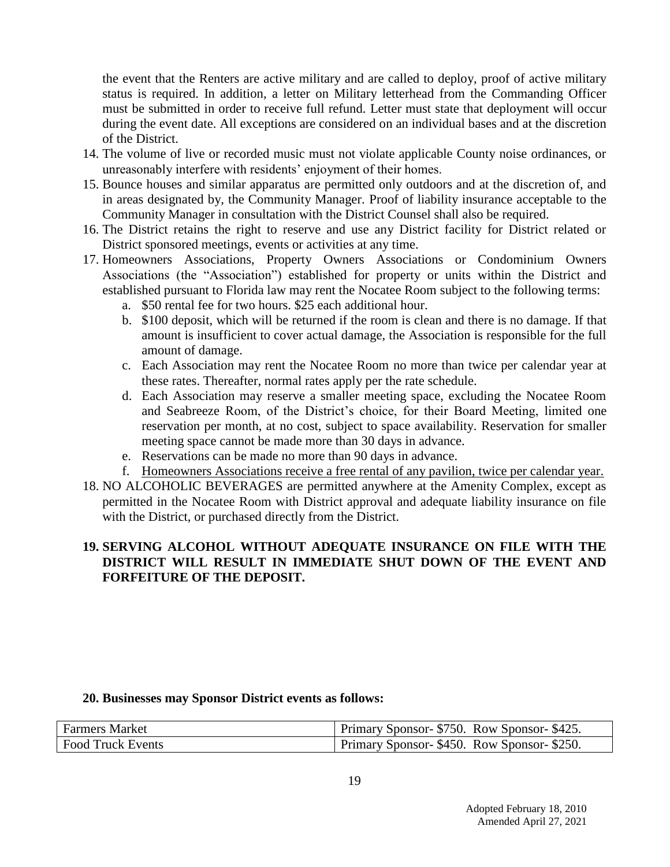the event that the Renters are active military and are called to deploy, proof of active military status is required. In addition, a letter on Military letterhead from the Commanding Officer must be submitted in order to receive full refund. Letter must state that deployment will occur during the event date. All exceptions are considered on an individual bases and at the discretion of the District.

- 14. The volume of live or recorded music must not violate applicable County noise ordinances, or unreasonably interfere with residents' enjoyment of their homes.
- 15. Bounce houses and similar apparatus are permitted only outdoors and at the discretion of, and in areas designated by, the Community Manager. Proof of liability insurance acceptable to the Community Manager in consultation with the District Counsel shall also be required.
- 16. The District retains the right to reserve and use any District facility for District related or District sponsored meetings, events or activities at any time.
- 17. Homeowners Associations, Property Owners Associations or Condominium Owners Associations (the "Association") established for property or units within the District and established pursuant to Florida law may rent the Nocatee Room subject to the following terms:
	- a. \$50 rental fee for two hours. \$25 each additional hour.
	- b. \$100 deposit, which will be returned if the room is clean and there is no damage. If that amount is insufficient to cover actual damage, the Association is responsible for the full amount of damage.
	- c. Each Association may rent the Nocatee Room no more than twice per calendar year at these rates. Thereafter, normal rates apply per the rate schedule.
	- d. Each Association may reserve a smaller meeting space, excluding the Nocatee Room and Seabreeze Room, of the District's choice, for their Board Meeting, limited one reservation per month, at no cost, subject to space availability. Reservation for smaller meeting space cannot be made more than 30 days in advance.
	- e. Reservations can be made no more than 90 days in advance.
	- f. Homeowners Associations receive a free rental of any pavilion, twice per calendar year.
- 18. NO ALCOHOLIC BEVERAGES are permitted anywhere at the Amenity Complex, except as permitted in the Nocatee Room with District approval and adequate liability insurance on file with the District, or purchased directly from the District.

#### **19. SERVING ALCOHOL WITHOUT ADEQUATE INSURANCE ON FILE WITH THE DISTRICT WILL RESULT IN IMMEDIATE SHUT DOWN OF THE EVENT AND FORFEITURE OF THE DEPOSIT.**

#### **20. Businesses may Sponsor District events as follows:**

| <b>Farmers Market</b>    | Primary Sponsor- \$750. Row Sponsor- \$425. |
|--------------------------|---------------------------------------------|
| <b>Food Truck Events</b> | Primary Sponsor- \$450. Row Sponsor- \$250. |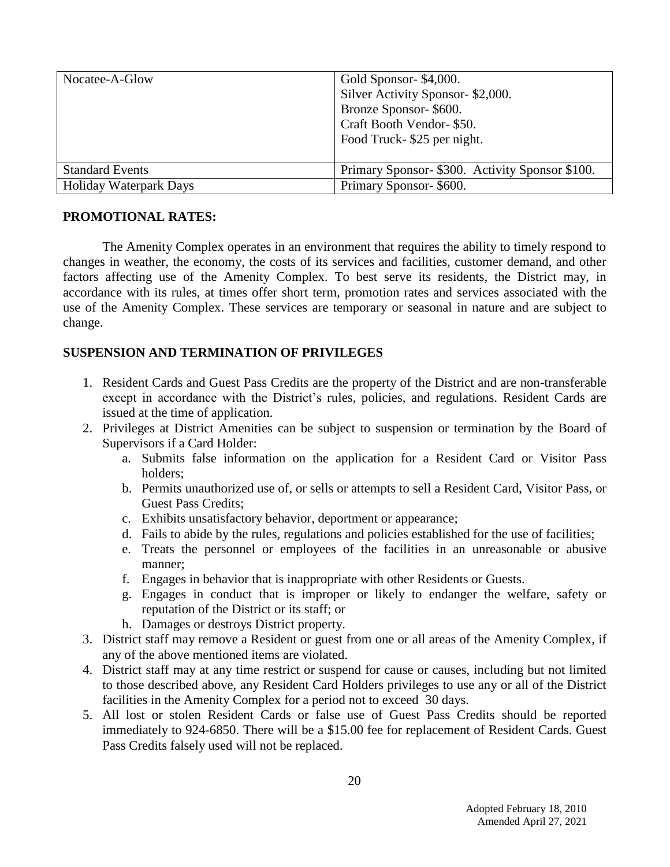| Nocatee-A-Glow         | Gold Sponsor- \$4,000.<br>Silver Activity Sponsor- \$2,000.<br>Bronze Sponsor-\$600.<br>Craft Booth Vendor- \$50.<br>Food Truck-\$25 per night. |
|------------------------|-------------------------------------------------------------------------------------------------------------------------------------------------|
| <b>Standard Events</b> | Primary Sponsor- \$300. Activity Sponsor \$100.                                                                                                 |
| Holiday Waterpark Days | Primary Sponsor- \$600.                                                                                                                         |

#### **PROMOTIONAL RATES:**

The Amenity Complex operates in an environment that requires the ability to timely respond to changes in weather, the economy, the costs of its services and facilities, customer demand, and other factors affecting use of the Amenity Complex. To best serve its residents, the District may, in accordance with its rules, at times offer short term, promotion rates and services associated with the use of the Amenity Complex. These services are temporary or seasonal in nature and are subject to change.

### **SUSPENSION AND TERMINATION OF PRIVILEGES**

- 1. Resident Cards and Guest Pass Credits are the property of the District and are non-transferable except in accordance with the District's rules, policies, and regulations. Resident Cards are issued at the time of application.
- 2. Privileges at District Amenities can be subject to suspension or termination by the Board of Supervisors if a Card Holder:
	- a. Submits false information on the application for a Resident Card or Visitor Pass holders;
	- b. Permits unauthorized use of, or sells or attempts to sell a Resident Card, Visitor Pass, or Guest Pass Credits;
	- c. Exhibits unsatisfactory behavior, deportment or appearance;
	- d. Fails to abide by the rules, regulations and policies established for the use of facilities;
	- e. Treats the personnel or employees of the facilities in an unreasonable or abusive manner;
	- f. Engages in behavior that is inappropriate with other Residents or Guests.
	- g. Engages in conduct that is improper or likely to endanger the welfare, safety or reputation of the District or its staff; or
	- h. Damages or destroys District property.
- 3. District staff may remove a Resident or guest from one or all areas of the Amenity Complex, if any of the above mentioned items are violated.
- 4. District staff may at any time restrict or suspend for cause or causes, including but not limited to those described above, any Resident Card Holders privileges to use any or all of the District facilities in the Amenity Complex for a period not to exceed 30 days.
- 5. All lost or stolen Resident Cards or false use of Guest Pass Credits should be reported immediately to 924-6850. There will be a \$15.00 fee for replacement of Resident Cards. Guest Pass Credits falsely used will not be replaced.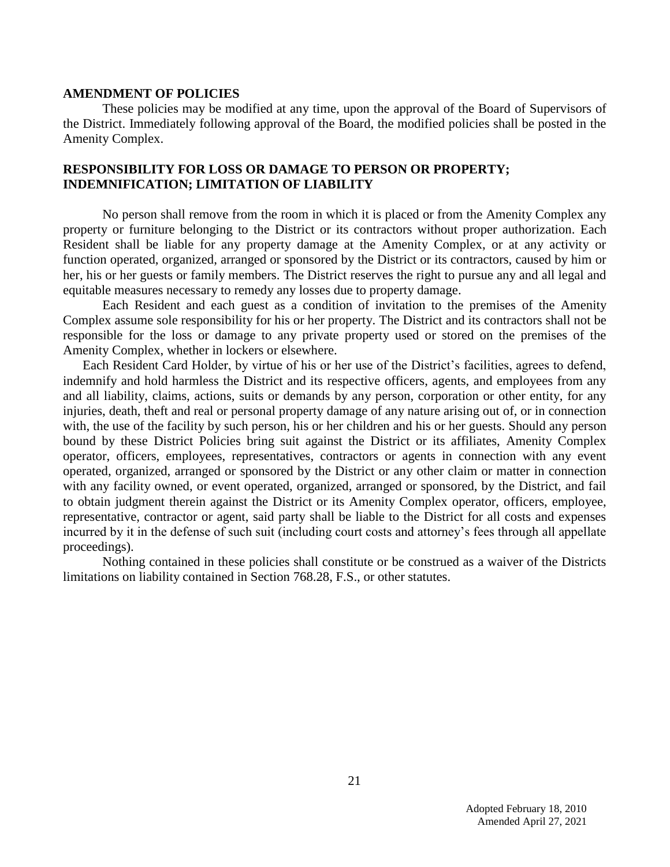#### **AMENDMENT OF POLICIES**

These policies may be modified at any time, upon the approval of the Board of Supervisors of the District. Immediately following approval of the Board, the modified policies shall be posted in the Amenity Complex.

#### **RESPONSIBILITY FOR LOSS OR DAMAGE TO PERSON OR PROPERTY; INDEMNIFICATION; LIMITATION OF LIABILITY**

No person shall remove from the room in which it is placed or from the Amenity Complex any property or furniture belonging to the District or its contractors without proper authorization. Each Resident shall be liable for any property damage at the Amenity Complex, or at any activity or function operated, organized, arranged or sponsored by the District or its contractors, caused by him or her, his or her guests or family members. The District reserves the right to pursue any and all legal and equitable measures necessary to remedy any losses due to property damage.

Each Resident and each guest as a condition of invitation to the premises of the Amenity Complex assume sole responsibility for his or her property. The District and its contractors shall not be responsible for the loss or damage to any private property used or stored on the premises of the Amenity Complex, whether in lockers or elsewhere.

Each Resident Card Holder, by virtue of his or her use of the District's facilities, agrees to defend, indemnify and hold harmless the District and its respective officers, agents, and employees from any and all liability, claims, actions, suits or demands by any person, corporation or other entity, for any injuries, death, theft and real or personal property damage of any nature arising out of, or in connection with, the use of the facility by such person, his or her children and his or her guests. Should any person bound by these District Policies bring suit against the District or its affiliates, Amenity Complex operator, officers, employees, representatives, contractors or agents in connection with any event operated, organized, arranged or sponsored by the District or any other claim or matter in connection with any facility owned, or event operated, organized, arranged or sponsored, by the District, and fail to obtain judgment therein against the District or its Amenity Complex operator, officers, employee, representative, contractor or agent, said party shall be liable to the District for all costs and expenses incurred by it in the defense of such suit (including court costs and attorney's fees through all appellate proceedings).

Nothing contained in these policies shall constitute or be construed as a waiver of the Districts limitations on liability contained in Section 768.28, F.S., or other statutes.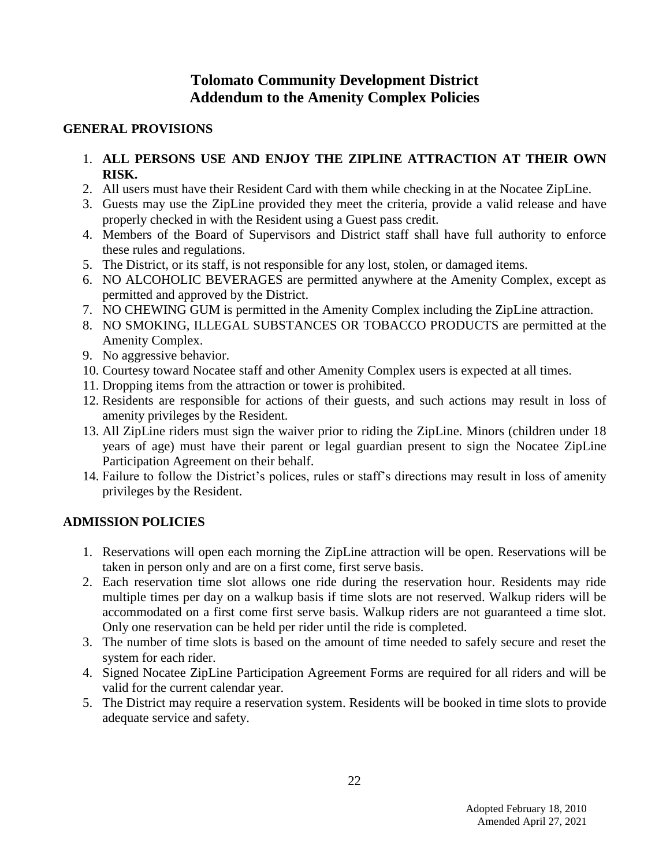# **Tolomato Community Development District Addendum to the Amenity Complex Policies**

#### **GENERAL PROVISIONS**

- 1. **ALL PERSONS USE AND ENJOY THE ZIPLINE ATTRACTION AT THEIR OWN RISK.**
- 2. All users must have their Resident Card with them while checking in at the Nocatee ZipLine.
- 3. Guests may use the ZipLine provided they meet the criteria, provide a valid release and have properly checked in with the Resident using a Guest pass credit.
- 4. Members of the Board of Supervisors and District staff shall have full authority to enforce these rules and regulations.
- 5. The District, or its staff, is not responsible for any lost, stolen, or damaged items.
- 6. NO ALCOHOLIC BEVERAGES are permitted anywhere at the Amenity Complex, except as permitted and approved by the District.
- 7. NO CHEWING GUM is permitted in the Amenity Complex including the ZipLine attraction.
- 8. NO SMOKING, ILLEGAL SUBSTANCES OR TOBACCO PRODUCTS are permitted at the Amenity Complex.
- 9. No aggressive behavior.
- 10. Courtesy toward Nocatee staff and other Amenity Complex users is expected at all times.
- 11. Dropping items from the attraction or tower is prohibited.
- 12. Residents are responsible for actions of their guests, and such actions may result in loss of amenity privileges by the Resident.
- 13. All ZipLine riders must sign the waiver prior to riding the ZipLine. Minors (children under 18 years of age) must have their parent or legal guardian present to sign the Nocatee ZipLine Participation Agreement on their behalf.
- 14. Failure to follow the District's polices, rules or staff's directions may result in loss of amenity privileges by the Resident.

### **ADMISSION POLICIES**

- 1. Reservations will open each morning the ZipLine attraction will be open. Reservations will be taken in person only and are on a first come, first serve basis.
- 2. Each reservation time slot allows one ride during the reservation hour. Residents may ride multiple times per day on a walkup basis if time slots are not reserved. Walkup riders will be accommodated on a first come first serve basis. Walkup riders are not guaranteed a time slot. Only one reservation can be held per rider until the ride is completed.
- 3. The number of time slots is based on the amount of time needed to safely secure and reset the system for each rider.
- 4. Signed Nocatee ZipLine Participation Agreement Forms are required for all riders and will be valid for the current calendar year.
- 5. The District may require a reservation system. Residents will be booked in time slots to provide adequate service and safety.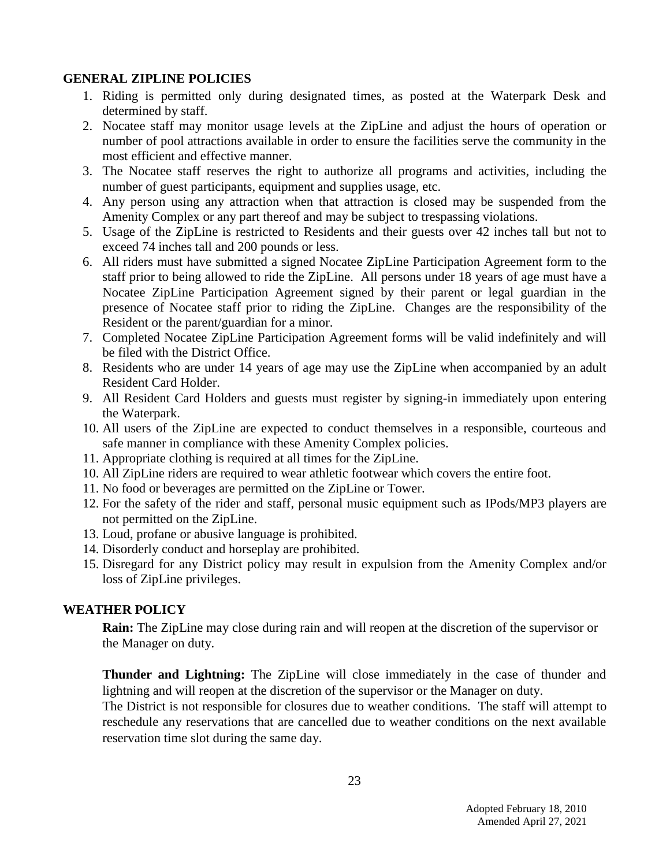#### **GENERAL ZIPLINE POLICIES**

- 1. Riding is permitted only during designated times, as posted at the Waterpark Desk and determined by staff.
- 2. Nocatee staff may monitor usage levels at the ZipLine and adjust the hours of operation or number of pool attractions available in order to ensure the facilities serve the community in the most efficient and effective manner.
- 3. The Nocatee staff reserves the right to authorize all programs and activities, including the number of guest participants, equipment and supplies usage, etc.
- 4. Any person using any attraction when that attraction is closed may be suspended from the Amenity Complex or any part thereof and may be subject to trespassing violations.
- 5. Usage of the ZipLine is restricted to Residents and their guests over 42 inches tall but not to exceed 74 inches tall and 200 pounds or less.
- 6. All riders must have submitted a signed Nocatee ZipLine Participation Agreement form to the staff prior to being allowed to ride the ZipLine. All persons under 18 years of age must have a Nocatee ZipLine Participation Agreement signed by their parent or legal guardian in the presence of Nocatee staff prior to riding the ZipLine. Changes are the responsibility of the Resident or the parent/guardian for a minor.
- 7. Completed Nocatee ZipLine Participation Agreement forms will be valid indefinitely and will be filed with the District Office.
- 8. Residents who are under 14 years of age may use the ZipLine when accompanied by an adult Resident Card Holder.
- 9. All Resident Card Holders and guests must register by signing-in immediately upon entering the Waterpark.
- 10. All users of the ZipLine are expected to conduct themselves in a responsible, courteous and safe manner in compliance with these Amenity Complex policies.
- 11. Appropriate clothing is required at all times for the ZipLine.
- 10. All ZipLine riders are required to wear athletic footwear which covers the entire foot.
- 11. No food or beverages are permitted on the ZipLine or Tower.
- 12. For the safety of the rider and staff, personal music equipment such as IPods/MP3 players are not permitted on the ZipLine.
- 13. Loud, profane or abusive language is prohibited.
- 14. Disorderly conduct and horseplay are prohibited.
- 15. Disregard for any District policy may result in expulsion from the Amenity Complex and/or loss of ZipLine privileges.

### **WEATHER POLICY**

**Rain:** The ZipLine may close during rain and will reopen at the discretion of the supervisor or the Manager on duty.

**Thunder and Lightning:** The ZipLine will close immediately in the case of thunder and lightning and will reopen at the discretion of the supervisor or the Manager on duty.

The District is not responsible for closures due to weather conditions. The staff will attempt to reschedule any reservations that are cancelled due to weather conditions on the next available reservation time slot during the same day.